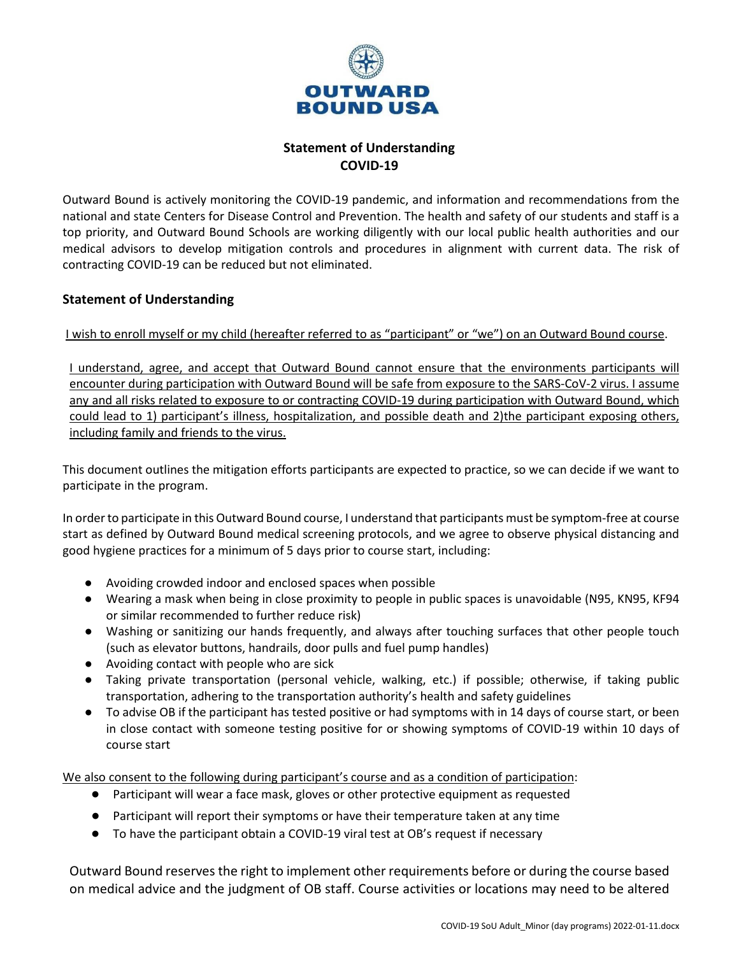

## **Statement of Understanding COVID-19**

Outward Bound is actively monitoring the COVID-19 pandemic, and information and recommendations from the national and state Centers for Disease Control and Prevention. The health and safety of our students and staff is a top priority, and Outward Bound Schools are working diligently with our local public health authorities and our medical advisors to develop mitigation controls and procedures in alignment with current data. The risk of contracting COVID-19 can be reduced but not eliminated.

## **Statement of Understanding**

I wish to enroll myself or my child (hereafter referred to as "participant" or "we") on an Outward Bound course.

I understand, agree, and accept that Outward Bound cannot ensure that the environments participants will encounter during participation with Outward Bound will be safe from exposure to the SARS-CoV-2 virus. I assume any and all risks related to exposure to or contracting COVID-19 during participation with Outward Bound, which could lead to 1) participant's illness, hospitalization, and possible death and 2)the participant exposing others, including family and friends to the virus.

This document outlines the mitigation efforts participants are expected to practice, so we can decide if we want to participate in the program.

In order to participate in this Outward Bound course, I understand that participants must be symptom-free at course start as defined by Outward Bound medical screening protocols, and we agree to observe physical distancing and good hygiene practices for a minimum of 5 days prior to course start, including:

- Avoiding crowded indoor and enclosed spaces when possible
- Wearing a mask when being in close proximity to people in public spaces is unavoidable (N95, KN95, KF94 or similar recommended to further reduce risk)
- Washing or sanitizing our hands frequently, and always after touching surfaces that other people touch (such as elevator buttons, handrails, door pulls and fuel pump handles)
- Avoiding contact with people who are sick
- Taking private transportation (personal vehicle, walking, etc.) if possible; otherwise, if taking public transportation, adhering to the transportation authority's health and safety guidelines
- To advise OB if the participant has tested positive or had symptoms with in 14 days of course start, or been in close contact with someone testing positive for or showing symptoms of COVID-19 within 10 days of course start

We also consent to the following during participant's course and as a condition of participation:

- Participant will wear a face mask, gloves or other protective equipment as requested
- Participant will report their symptoms or have their temperature taken at any time
- To have the participant obtain a COVID-19 viral test at OB's request if necessary

Outward Bound reserves the right to implement other requirements before or during the course based on medical advice and the judgment of OB staff. Course activities or locations may need to be altered